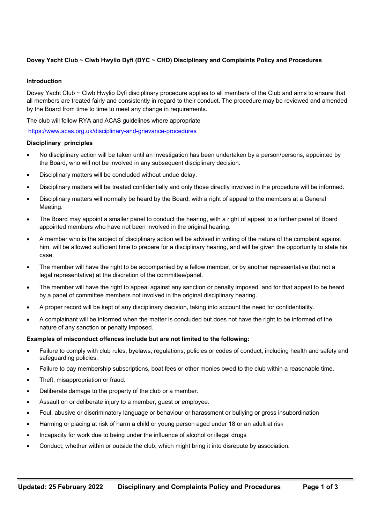# **Dovey Yacht Club ~ Clwb Hwylio Dyfi (DYC ~ CHD) Disciplinary and Complaints Policy and Procedures**

# **Introduction**

Dovey Yacht Club ~ Clwb Hwylio Dyfi disciplinary procedure applies to all members of the Club and aims to ensure that all members are treated fairly and consistently in regard to their conduct. The procedure may be reviewed and amended by the Board from time to time to meet any change in requirements.

The club will follow RYA and ACAS guidelines where appropriate

https://www.acas.org.uk/disciplinary-and-grievance-procedures

# **Disciplinary principles**

- No disciplinary action will be taken until an investigation has been undertaken by a person/persons, appointed by the Board, who will not be involved in any subsequent disciplinary decision.
- Disciplinary matters will be concluded without undue delay.
- Disciplinary matters will be treated confidentially and only those directly involved in the procedure will be informed.
- Disciplinary matters will normally be heard by the Board, with a right of appeal to the members at a General Meeting.
- The Board may appoint a smaller panel to conduct the hearing, with a right of appeal to a further panel of Board appointed members who have not been involved in the original hearing.
- A member who is the subject of disciplinary action will be advised in writing of the nature of the complaint against him, will be allowed sufficient time to prepare for a disciplinary hearing, and will be given the opportunity to state his case.
- The member will have the right to be accompanied by a fellow member, or by another representative (but not a legal representative) at the discretion of the committee/panel.
- The member will have the right to appeal against any sanction or penalty imposed, and for that appeal to be heard by a panel of committee members not involved in the original disciplinary hearing.
- A proper record will be kept of any disciplinary decision, taking into account the need for confidentiality.
- A complainant will be informed when the matter is concluded but does not have the right to be informed of the nature of any sanction or penalty imposed.

## **Examples of misconduct offences include but are not limited to the following:**

- Failure to comply with club rules, byelaws, regulations, policies or codes of conduct, including health and safety and safeguarding policies.
- Failure to pay membership subscriptions, boat fees or other monies owed to the club within a reasonable time.
- Theft, misappropriation or fraud.
- Deliberate damage to the property of the club or a member.
- Assault on or deliberate injury to a member, guest or employee.
- Foul, abusive or discriminatory language or behaviour or harassment or bullying or gross insubordination
- Harming or placing at risk of harm a child or young person aged under 18 or an adult at risk
- Incapacity for work due to being under the influence of alcohol or illegal drugs
- Conduct, whether within or outside the club, which might bring it into disrepute by association.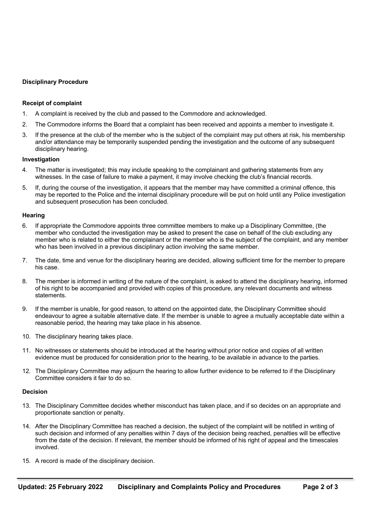## **Disciplinary Procedure**

## **Receipt of complaint**

- 1. A complaint is received by the club and passed to the Commodore and acknowledged.
- 2. The Commodore informs the Board that a complaint has been received and appoints a member to investigate it.
- 3. If the presence at the club of the member who is the subject of the complaint may put others at risk, his membership and/or attendance may be temporarily suspended pending the investigation and the outcome of any subsequent disciplinary hearing.

## **Investigation**

- 4. The matter is investigated; this may include speaking to the complainant and gathering statements from any witnesses. In the case of failure to make a payment, it may involve checking the club's financial records.
- 5. If, during the course of the investigation, it appears that the member may have committed a criminal offence, this may be reported to the Police and the internal disciplinary procedure will be put on hold until any Police investigation and subsequent prosecution has been concluded.

# **Hearing**

- 6. If appropriate the Commodore appoints three committee members to make up a Disciplinary Committee, (the member who conducted the investigation may be asked to present the case on behalf of the club excluding any member who is related to either the complainant or the member who is the subject of the complaint, and any member who has been involved in a previous disciplinary action involving the same member.
- 7. The date, time and venue for the disciplinary hearing are decided, allowing sufficient time for the member to prepare his case.
- 8. The member is informed in writing of the nature of the complaint, is asked to attend the disciplinary hearing, informed of his right to be accompanied and provided with copies of this procedure, any relevant documents and witness statements.
- 9. If the member is unable, for good reason, to attend on the appointed date, the Disciplinary Committee should endeavour to agree a suitable alternative date. If the member is unable to agree a mutually acceptable date within a reasonable period, the hearing may take place in his absence.
- 10. The disciplinary hearing takes place.
- 11. No witnesses or statements should be introduced at the hearing without prior notice and copies of all written evidence must be produced for consideration prior to the hearing, to be available in advance to the parties.
- 12. The Disciplinary Committee may adjourn the hearing to allow further evidence to be referred to if the Disciplinary Committee considers it fair to do so.

## **Decision**

- 13. The Disciplinary Committee decides whether misconduct has taken place, and if so decides on an appropriate and proportionate sanction or penalty.
- 14. After the Disciplinary Committee has reached a decision, the subject of the complaint will be notified in writing of such decision and informed of any penalties within 7 days of the decision being reached, penalties will be effective from the date of the decision. If relevant, the member should be informed of his right of appeal and the timescales involved.
- 15. A record is made of the disciplinary decision.